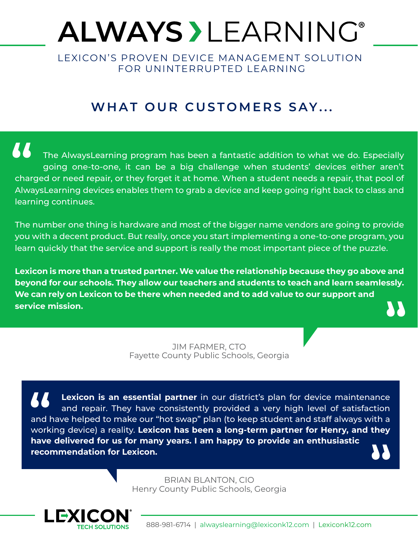## **ALWAYS > LEARNING®**

LEXICON'S PROVEN DEVICE MANAGEMENT SOLUTION FOR UNINTERRUPTED LEARNING

## **WHAT OUR CUSTOMERS SAY...**

77 The AlwaysLearning program has been a fantastic addition to what we do. Especially going one-to-one, it can be a big challenge when students' devices either aren't charged or need repair, or they forget it at home. When a student needs a repair, that pool of AlwaysLearning devices enables them to grab a device and keep going right back to class and learning continues.

The number one thing is hardware and most of the bigger name vendors are going to provide you with a decent product. But really, once you start implementing a one-to-one program, you learn quickly that the service and support is really the most important piece of the puzzle.

**Lexicon is more than a trusted partner. We value the relationship because they go above and beyond for our schools. They allow our teachers and students to teach and learn seamlessly. We can rely on Lexicon to be there when needed and to add value to our support and service mission.**

> JIM FARMER, CTO Fayette County Public Schools, Georgia

**Lexicon is an essential partner** in our district's plan for device maintenance and repair. They have consistently provided a very high level of satisfaction and have helped to make our "hot swap" plan (to keep student and staff always with a working device) a reality. **Lexicon has been a long-term partner for Henry, and they have delivered for us for many years. I am happy to provide an enthusiastic recommendation for Lexicon.**

> BRIAN BLANTON, CIO Henry County Public Schools, Georgia